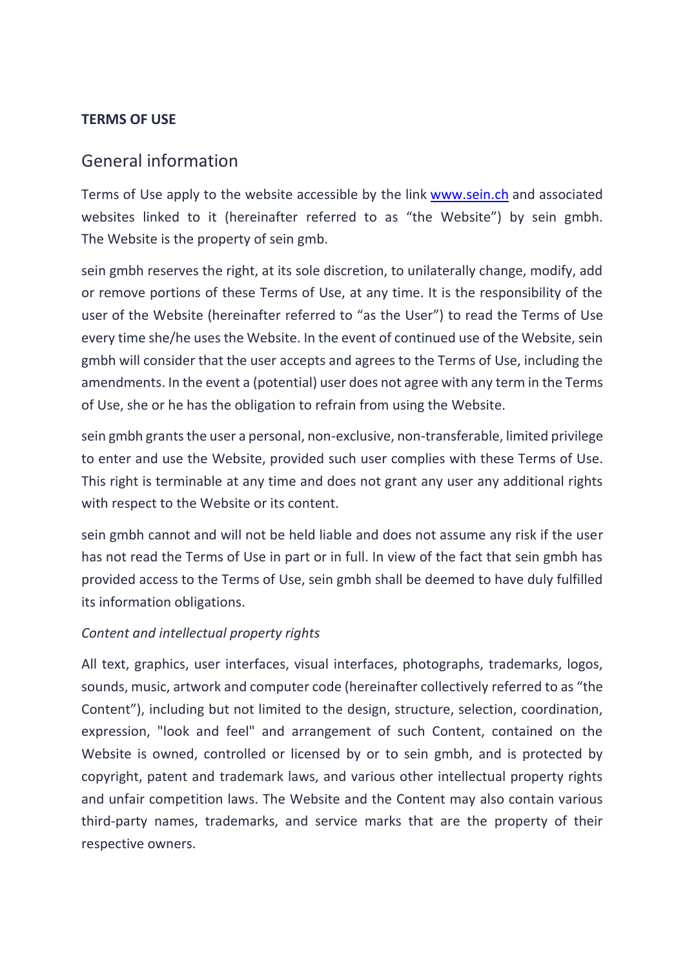## **TERMS OF USE**

# General information

Terms of Use apply to the website accessible by the link [www.sein.ch](http://www.sein.ch/) and associated websites linked to it (hereinafter referred to as "the Website") by sein gmbh. The Website is the property of sein gmb.

sein gmbh reserves the right, at its sole discretion, to unilaterally change, modify, add or remove portions of these Terms of Use, at any time. It is the responsibility of the user of the Website (hereinafter referred to "as the User") to read the Terms of Use every time she/he uses the Website. In the event of continued use of the Website, sein gmbh will consider that the user accepts and agrees to the Terms of Use, including the amendments. In the event a (potential) user does not agree with any term in the Terms of Use, she or he has the obligation to refrain from using the Website.

sein gmbh grants the user a personal, non-exclusive, non-transferable, limited privilege to enter and use the Website, provided such user complies with these Terms of Use. This right is terminable at any time and does not grant any user any additional rights with respect to the Website or its content.

sein gmbh cannot and will not be held liable and does not assume any risk if the user has not read the Terms of Use in part or in full. In view of the fact that sein gmbh has provided access to the Terms of Use, sein gmbh shall be deemed to have duly fulfilled its information obligations.

### *Content and intellectual property rights*

All text, graphics, user interfaces, visual interfaces, photographs, trademarks, logos, sounds, music, artwork and computer code (hereinafter collectively referred to as "the Content"), including but not limited to the design, structure, selection, coordination, expression, "look and feel" and arrangement of such Content, contained on the Website is owned, controlled or licensed by or to sein gmbh, and is protected by copyright, patent and trademark laws, and various other intellectual property rights and unfair competition laws. The Website and the Content may also contain various third-party names, trademarks, and service marks that are the property of their respective owners.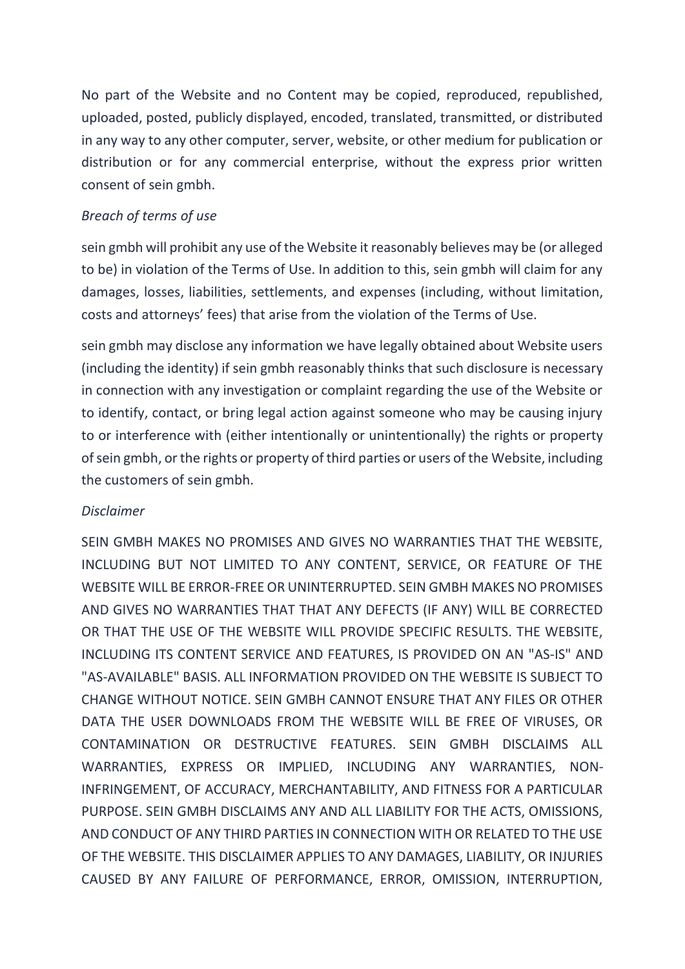No part of the Website and no Content may be copied, reproduced, republished, uploaded, posted, publicly displayed, encoded, translated, transmitted, or distributed in any way to any other computer, server, website, or other medium for publication or distribution or for any commercial enterprise, without the express prior written consent of sein gmbh.

# *Breach of terms of use*

sein gmbh will prohibit any use of the Website it reasonably believes may be (or alleged to be) in violation of the Terms of Use. In addition to this, sein gmbh will claim for any damages, losses, liabilities, settlements, and expenses (including, without limitation, costs and attorneys' fees) that arise from the violation of the Terms of Use.

sein gmbh may disclose any information we have legally obtained about Website users (including the identity) if sein gmbh reasonably thinks that such disclosure is necessary in connection with any investigation or complaint regarding the use of the Website or to identify, contact, or bring legal action against someone who may be causing injury to or interference with (either intentionally or unintentionally) the rights or property of sein gmbh, or the rights or property of third parties or users of the Website, including the customers of sein gmbh.

### *Disclaimer*

SEIN GMBH MAKES NO PROMISES AND GIVES NO WARRANTIES THAT THE WEBSITE, INCLUDING BUT NOT LIMITED TO ANY CONTENT, SERVICE, OR FEATURE OF THE WEBSITE WILL BE ERROR-FREE OR UNINTERRUPTED. SEIN GMBH MAKES NO PROMISES AND GIVES NO WARRANTIES THAT THAT ANY DEFECTS (IF ANY) WILL BE CORRECTED OR THAT THE USE OF THE WEBSITE WILL PROVIDE SPECIFIC RESULTS. THE WEBSITE, INCLUDING ITS CONTENT SERVICE AND FEATURES, IS PROVIDED ON AN "AS-IS" AND "AS-AVAILABLE" BASIS. ALL INFORMATION PROVIDED ON THE WEBSITE IS SUBJECT TO CHANGE WITHOUT NOTICE. SEIN GMBH CANNOT ENSURE THAT ANY FILES OR OTHER DATA THE USER DOWNLOADS FROM THE WEBSITE WILL BE FREE OF VIRUSES, OR CONTAMINATION OR DESTRUCTIVE FEATURES. SEIN GMBH DISCLAIMS ALL WARRANTIES, EXPRESS OR IMPLIED, INCLUDING ANY WARRANTIES, NON-INFRINGEMENT, OF ACCURACY, MERCHANTABILITY, AND FITNESS FOR A PARTICULAR PURPOSE. SEIN GMBH DISCLAIMS ANY AND ALL LIABILITY FOR THE ACTS, OMISSIONS, AND CONDUCT OF ANY THIRD PARTIES IN CONNECTION WITH OR RELATED TO THE USE OF THE WEBSITE. THIS DISCLAIMER APPLIES TO ANY DAMAGES, LIABILITY, OR INJURIES CAUSED BY ANY FAILURE OF PERFORMANCE, ERROR, OMISSION, INTERRUPTION,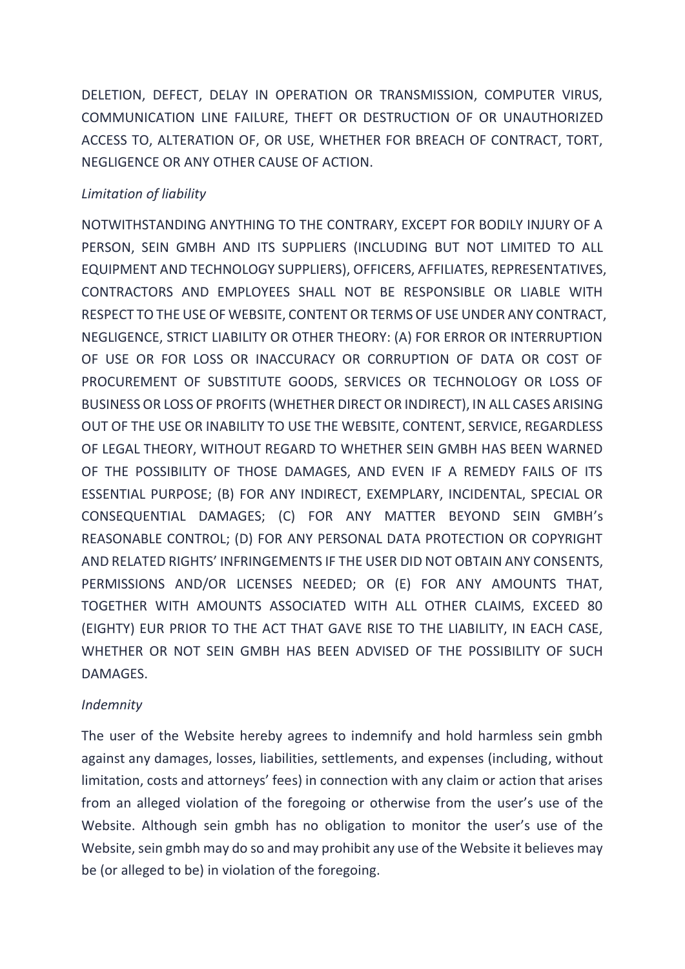DELETION, DEFECT, DELAY IN OPERATION OR TRANSMISSION, COMPUTER VIRUS, COMMUNICATION LINE FAILURE, THEFT OR DESTRUCTION OF OR UNAUTHORIZED ACCESS TO, ALTERATION OF, OR USE, WHETHER FOR BREACH OF CONTRACT, TORT, NEGLIGENCE OR ANY OTHER CAUSE OF ACTION.

# *Limitation of liability*

NOTWITHSTANDING ANYTHING TO THE CONTRARY, EXCEPT FOR BODILY INJURY OF A PERSON, SEIN GMBH AND ITS SUPPLIERS (INCLUDING BUT NOT LIMITED TO ALL EQUIPMENT AND TECHNOLOGY SUPPLIERS), OFFICERS, AFFILIATES, REPRESENTATIVES, CONTRACTORS AND EMPLOYEES SHALL NOT BE RESPONSIBLE OR LIABLE WITH RESPECT TO THE USE OF WEBSITE, CONTENT OR TERMS OF USE UNDER ANY CONTRACT, NEGLIGENCE, STRICT LIABILITY OR OTHER THEORY: (A) FOR ERROR OR INTERRUPTION OF USE OR FOR LOSS OR INACCURACY OR CORRUPTION OF DATA OR COST OF PROCUREMENT OF SUBSTITUTE GOODS, SERVICES OR TECHNOLOGY OR LOSS OF BUSINESS OR LOSS OF PROFITS (WHETHER DIRECT OR INDIRECT), IN ALL CASES ARISING OUT OF THE USE OR INABILITY TO USE THE WEBSITE, CONTENT, SERVICE, REGARDLESS OF LEGAL THEORY, WITHOUT REGARD TO WHETHER SEIN GMBH HAS BEEN WARNED OF THE POSSIBILITY OF THOSE DAMAGES, AND EVEN IF A REMEDY FAILS OF ITS ESSENTIAL PURPOSE; (B) FOR ANY INDIRECT, EXEMPLARY, INCIDENTAL, SPECIAL OR CONSEQUENTIAL DAMAGES; (C) FOR ANY MATTER BEYOND SEIN GMBH's REASONABLE CONTROL; (D) FOR ANY PERSONAL DATA PROTECTION OR COPYRIGHT AND RELATED RIGHTS' INFRINGEMENTS IF THE USER DID NOT OBTAIN ANY CONSENTS, PERMISSIONS AND/OR LICENSES NEEDED; OR (E) FOR ANY AMOUNTS THAT, TOGETHER WITH AMOUNTS ASSOCIATED WITH ALL OTHER CLAIMS, EXCEED 80 (EIGHTY) EUR PRIOR TO THE ACT THAT GAVE RISE TO THE LIABILITY, IN EACH CASE, WHETHER OR NOT SEIN GMBH HAS BEEN ADVISED OF THE POSSIBILITY OF SUCH DAMAGES.

### *Indemnity*

The user of the Website hereby agrees to indemnify and hold harmless sein gmbh against any damages, losses, liabilities, settlements, and expenses (including, without limitation, costs and attorneys' fees) in connection with any claim or action that arises from an alleged violation of the foregoing or otherwise from the user's use of the Website. Although sein gmbh has no obligation to monitor the user's use of the Website, sein gmbh may do so and may prohibit any use of the Website it believes may be (or alleged to be) in violation of the foregoing.